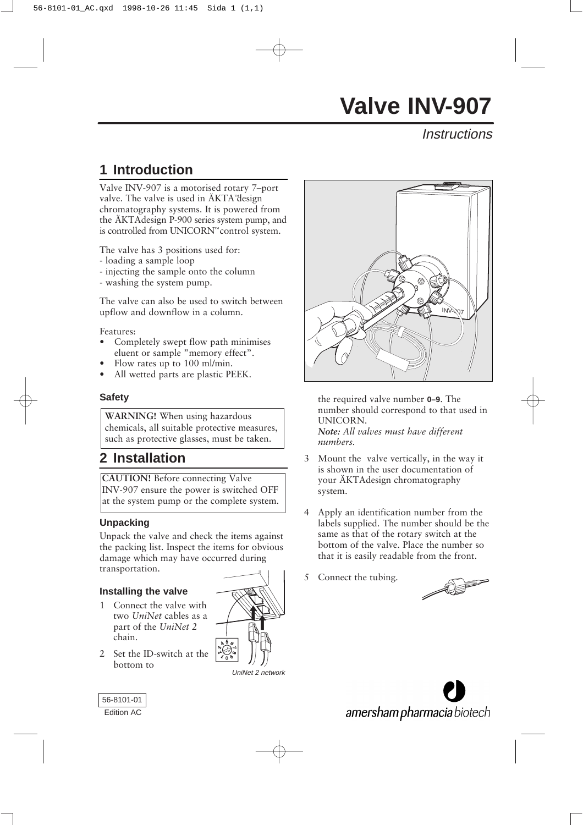# **Valve INV-907**

**Instructions** 

## **1 Introduction**

Valve INV-907 is a motorised rotary 7–port valve. The valve is used in ÄKTA™design chromatography systems. It is powered from the ÄKTAdesign P-900 series system pump, and is controlled from UNICORN™control system.

The valve has 3 positions used for:

- loading a sample loop
- injecting the sample onto the column
- washing the system pump.

The valve can also be used to switch between upflow and downflow in a column.

Features:

- Completely swept flow path minimises eluent or sample "memory effect".
- Flow rates up to 100 ml/min.
- All wetted parts are plastic PEEK.

## **Safety**

**WARNING!** When using hazardous chemicals, all suitable protective measures, such as protective glasses, must be taken.

## **2 Installation**

**CAUTION!** Before connecting Valve INV-907 ensure the power is switched OFF at the system pump or the complete system.

## **Unpacking**

56-8101-01 Edition AC

Unpack the valve and check the items against the packing list. Inspect the items for obvious damage which may have occurred during transportation.

## **Installing the valve**

- 1 Connect the valve with two *UniNet* cables as a part of the *UniNet 2* chain.
- 2 Set the ID-switch at the bottom to



INV-907 3

the required valve number **0–9**. The number should correspond to that used in UNICORN.

*Note: All valves must have different numbers.*

- 3 Mount the valve vertically, in the way it is shown in the user documentation of your ÄKTAdesign chromatography system.
- 4 Apply an identification number from the labels supplied. The number should be the same as that of the rotary switch at the bottom of the valve. Place the number so that it is easily readable from the front.
- 5 Connect the tubing.



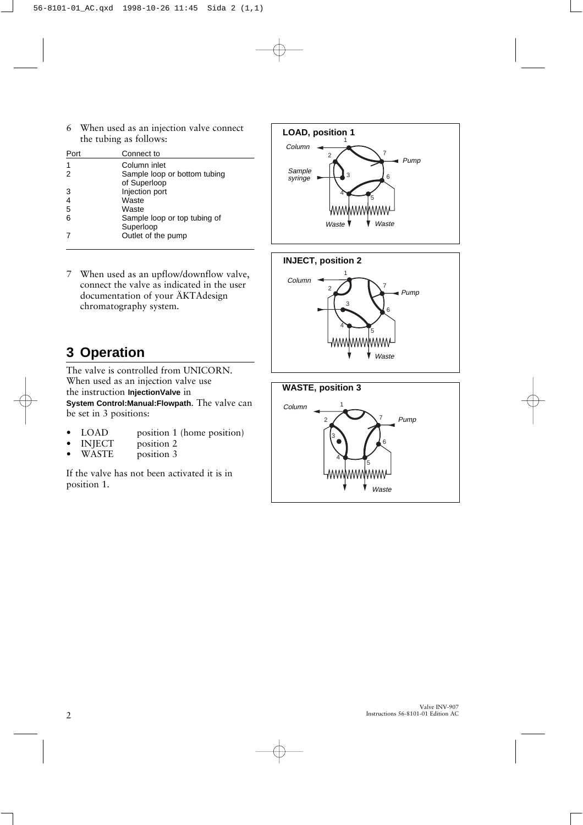6 When used as an injection valve connect the tubing as follows:

| Port | Connect to                   |
|------|------------------------------|
|      | Column inlet                 |
| 2    | Sample loop or bottom tubing |
|      | of Superloop                 |
| 3    | Injection port               |
| 4    | Waste                        |
| 5    | Waste                        |
| 6    | Sample loop or top tubing of |
|      | Superloop                    |
|      | Outlet of the pump           |
|      |                              |

7 When used as an upflow/downflow valve, connect the valve as indicated in the user documentation of your ÄKTAdesign chromatography system.

## **3 Operation**

The valve is controlled from UNICORN. When used as an injection valve use the instruction **InjectionValve** in **System Control:Manual:Flowpath**. The valve can be set in 3 positions:

- LOAD position 1 (home position)<br>INJECT position 2
- INJECT position 2<br>WASTE position 3
- position 3

If the valve has not been activated it is in position 1.





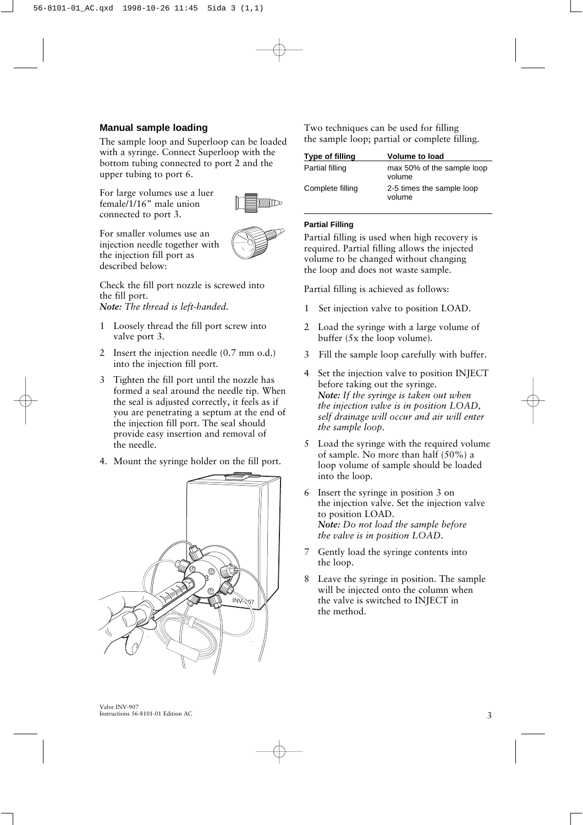## **Manual sample loading**

The sample loop and Superloop can be loaded with a syringe. Connect Superloop with the bottom tubing connected to port 2 and the upper tubing to port 6.

For large volumes use a luer female/1/16" male union connected to port 3.



For smaller volumes use an injection needle together with the injection fill port as described below:



Check the fill port nozzle is screwed into the fill port. *Note: The thread is left-handed.*

- 1 Loosely thread the fill port screw into valve port 3.
- 2 Insert the injection needle (0.7 mm o.d.) into the injection fill port.
- 3 Tighten the fill port until the nozzle has formed a seal around the needle tip. When the seal is adjusted correctly, it feels as if you are penetrating a septum at the end of the injection fill port. The seal should provide easy insertion and removal of the needle.
- 4. Mount the syringe holder on the fill port.



Two techniques can be used for filling the sample loop; partial or complete filling.

| Type of filling  | <b>Volume to load</b>                |
|------------------|--------------------------------------|
| Partial filling  | max 50% of the sample loop<br>volume |
| Complete filling | 2-5 times the sample loop<br>volume  |

#### **Partial Filling**

Partial filling is used when high recovery is required. Partial filling allows the injected volume to be changed without changing the loop and does not waste sample.

Partial filling is achieved as follows:

- 1 Set injection valve to position LOAD.
- 2 Load the syringe with a large volume of buffer (5x the loop volume).
- 3 Fill the sample loop carefully with buffer.
- 4 Set the injection valve to position INJECT before taking out the syringe. *Note: If the syringe is taken out when the injection valve is in position LOAD, self drainage will occur and air will enter the sample loop.*
- 5 Load the syringe with the required volume of sample. No more than half (50%) a loop volume of sample should be loaded into the loop.
- 6 Insert the syringe in position 3 on the injection valve. Set the injection valve to position LOAD. *Note: Do not load the sample before the valve is in position LOAD.*
- 7 Gently load the syringe contents into the loop.
- 8 Leave the syringe in position. The sample will be injected onto the column when the valve is switched to INJECT in the method.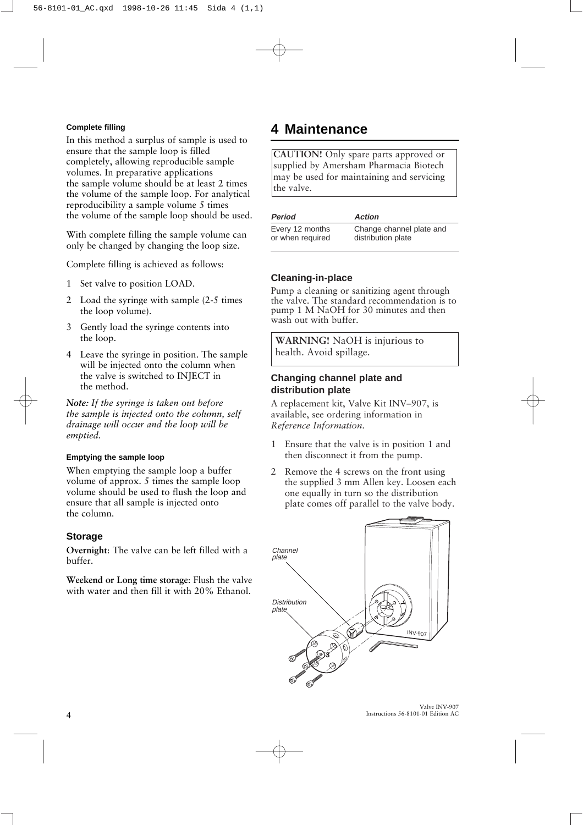#### **Complete filling**

In this method a surplus of sample is used to ensure that the sample loop is filled completely, allowing reproducible sample volumes. In preparative applications the sample volume should be at least 2 times the volume of the sample loop. For analytical reproducibility a sample volume 5 times the volume of the sample loop should be used.

With complete filling the sample volume can only be changed by changing the loop size.

Complete filling is achieved as follows:

- 1 Set valve to position LOAD.
- 2 Load the syringe with sample (2-5 times the loop volume).
- 3 Gently load the syringe contents into the loop.
- 4 Leave the syringe in position. The sample will be injected onto the column when the valve is switched to INJECT in the method.

*Note: If the syringe is taken out before the sample is injected onto the column, self drainage will occur and the loop will be emptied.*

#### **Emptying the sample loop**

When emptying the sample loop a buffer volume of approx. 5 times the sample loop volume should be used to flush the loop and ensure that all sample is injected onto the column.

## **Storage**

**Overnight**: The valve can be left filled with a buffer.

**Weekend or Long time storage**: Flush the valve with water and then fill it with 20% Ethanol.

## **4 Maintenance**

**CAUTION!** Only spare parts approved or supplied by Amersham Pharmacia Biotech may be used for maintaining and servicing the valve.

| <b>Period</b>    | <b>Action</b>            |
|------------------|--------------------------|
| Every 12 months  | Change channel plate and |
| or when required | distribution plate       |

#### **Cleaning-in-place**

Pump a cleaning or sanitizing agent through the valve. The standard recommendation is to pump 1 M NaOH for 30 minutes and then wash out with buffer.

**WARNING!** NaOH is injurious to health. Avoid spillage.

## **Changing channel plate and distribution plate**

A replacement kit, Valve Kit INV–907, is available, see ordering information in *Reference Information*.

- 1 Ensure that the valve is in position 1 and then disconnect it from the pump.
- 2 Remove the 4 screws on the front using the supplied 3 mm Allen key. Loosen each one equally in turn so the distribution plate comes off parallel to the valve body.

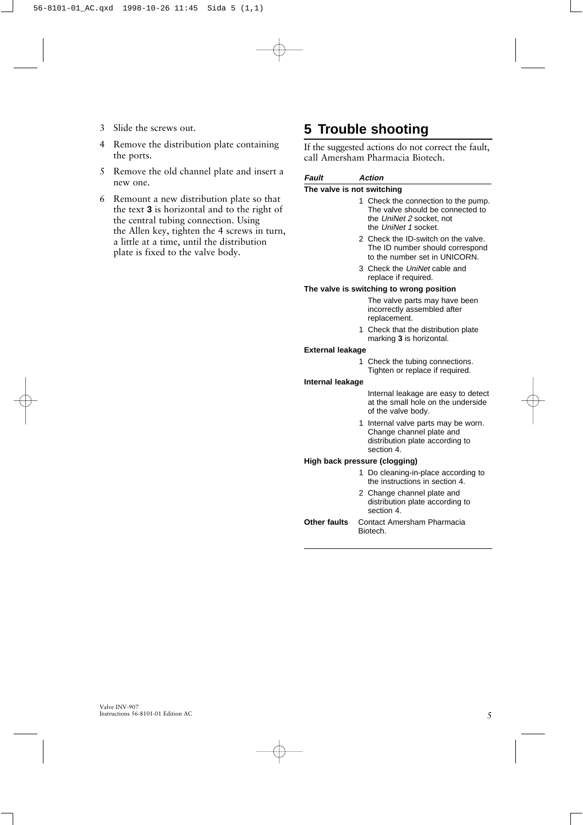- 3 Slide the screws out.
- 4 Remove the distribution plate containing the ports.
- 5 Remove the old channel plate and insert a new one.
- 6 Remount a new distribution plate so that the text **3** is horizontal and to the right of the central tubing connection. Using the Allen key, tighten the 4 screws in turn, a little at a time, until the distribution plate is fixed to the valve body.

## **5 Trouble shooting**

If the suggested actions do not correct the fault, call Amersham Pharmacia Biotech.

## **Fault Action**

#### **The valve is not switching**

- 1 Check the connection to the pump. The valve should be connected to the UniNet 2 socket, not the UniNet 1 socket.
- 2 Check the ID-switch on the valve. The ID number should correspond to the number set in UNICORN.
- 3 Check the UniNet cable and replace if required.

#### **The valve is switching to wrong position**

The valve parts may have been incorrectly assembled after replacement.

1 Check that the distribution plate marking **3** is horizontal.

#### **External leakage**

1 Check the tubing connections. Tighten or replace if required.

#### **Internal leakage**

Internal leakage are easy to detect at the small hole on the underside of the valve body.

1 Internal valve parts may be worn. Change channel plate and distribution plate according to section 4.

#### **High back pressure (clogging)**

- 1 Do cleaning-in-place according to the instructions in section 4.
- 2 Change channel plate and distribution plate according to section 4.
- **Other faults** Contact Amersham Pharmacia Biotech.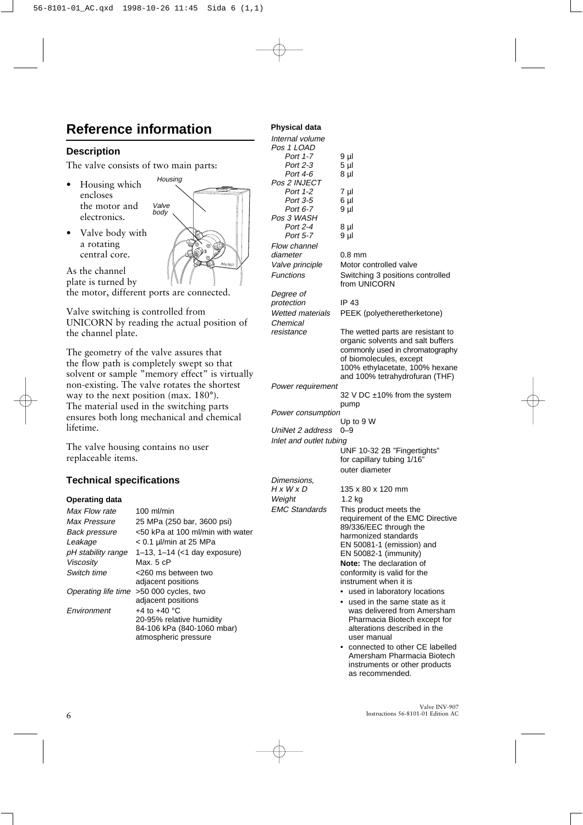## **Reference information**

## **Description**

The valve consists of two main parts:

- Housing which encloses the motor and electronics.
- Valve body with a rotating central core.



As the channel plate is turned by

the motor, different ports are connected.

Valve switching is controlled from UNICORN by reading the actual position of the channel plate.

The geometry of the valve assures that the flow path is completely swept so that solvent or sample "memory effect" is virtually non-existing. The valve rotates the shortest way to the next position (max. 180°). The material used in the switching parts ensures both long mechanical and chemical lifetime.

The valve housing contains no user replaceable items.

## **Technical specifications**

#### **Operating data**

| $100$ ml/min                               |
|--------------------------------------------|
| 25 MPa (250 bar, 3600 psi)                 |
| <50 kPa at 100 ml/min with water           |
| < 0.1 µl/min at 25 MPa                     |
| 1–13, 1–14 $(<$ 1 day exposure)            |
| Max. $5$ $cP$                              |
| <260 ms between two                        |
| adjacent positions                         |
| >50 000 cycles, two<br>Operating life time |
| adjacent positions                         |
| $+4$ to $+40$ °C                           |
| 20-95% relative humidity                   |
| 84-106 kPa (840-1060 mbar)                 |
| atmospheric pressure                       |
|                                            |

### **Physical data**

| Internal volume          |                                                                  |
|--------------------------|------------------------------------------------------------------|
| Pos 1 LOAD               |                                                                  |
| Port 1-7<br>Port 2-3     | 9 µl                                                             |
| Port 4-6                 | 5 <sub>µ</sub><br>8 µl                                           |
| <i>Pos 2 INJECT</i>      |                                                                  |
| Port 1-2                 | 7 µl                                                             |
| Port 3-5                 | 6 µl                                                             |
| Port 6-7                 | 9 µl                                                             |
| Pos 3 WASH               |                                                                  |
| Port 2-4                 | 8 µl                                                             |
| Port 5-7                 | 9 µl                                                             |
| Flow channel             |                                                                  |
| diameter                 | $0.8$ mm                                                         |
| Valve principle          | Motor controlled valve                                           |
| Functions                | Switching 3 positions controlled<br>from UNICORN                 |
| Degree of                |                                                                  |
| protection               | IP 43                                                            |
| Wetted materials         | PEEK (polyetheretherketone)                                      |
| Chemical                 |                                                                  |
| resistance               | The wetted parts are resistant to                                |
|                          | organic solvents and salt buffers                                |
|                          | commonly used in chromatography                                  |
|                          | of biomolecules, except                                          |
|                          | 100% ethylacetate, 100% hexane<br>and 100% tetrahydrofuran (THF) |
|                          |                                                                  |
| Power requirement        | 32 V DC ±10% from the system                                     |
|                          | pump                                                             |
| <b>Power consumption</b> |                                                                  |
|                          | Up to 9 W                                                        |
| UniNet 2 address         | 0-9                                                              |
| Inlet and outlet tubing  |                                                                  |
|                          | UNF 10-32 2B "Fingertights"                                      |
|                          | for capillary tubing 1/16"                                       |
|                          | outer diameter                                                   |
| <i>Dimensions,</i>       |                                                                  |
| H x W x D                | 135 x 80 x 120 mm                                                |
| Weight                   | 1.2 kg                                                           |
| <b>EMC Standards</b>     | This product meets the                                           |
|                          | requirement of the EMC Directive                                 |
|                          | 89/336/EEC through the                                           |
|                          | harmonized standards                                             |
|                          | EN 50081-1 (emission) and                                        |
|                          |                                                                  |
|                          | EN 50082-1 (immunity)                                            |
|                          | Note: The declaration of                                         |
|                          | conformity is valid for the                                      |
|                          | instrument when it is                                            |
|                          | used in laboratory locations                                     |
|                          | used in the same state as it                                     |
|                          | was delivered from Amersham                                      |
|                          | Pharmacia Biotech except for                                     |
|                          | alterations described in the<br>user manual                      |
|                          |                                                                  |
|                          | connected to other CE labelled<br>Amersham Pharmacia Biotech     |

as recommended.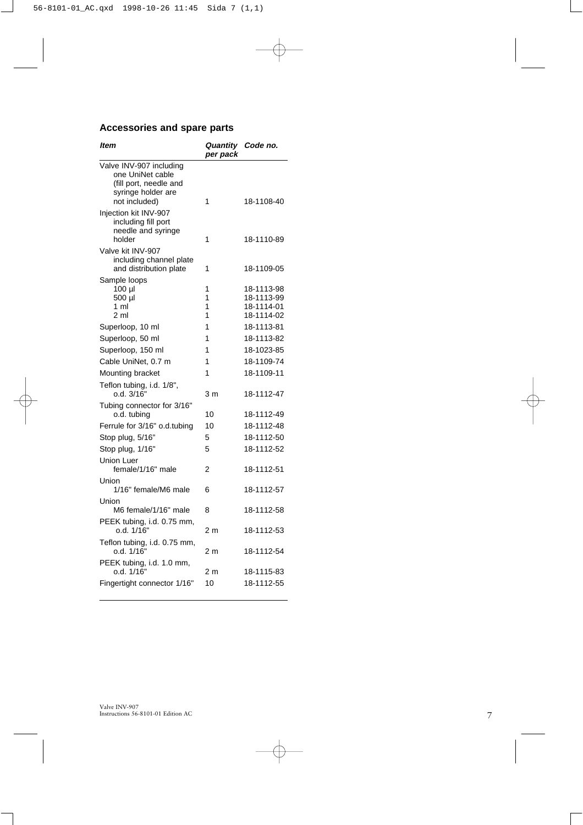## **Accessories and spare parts**

| per pack         | Code no.                                             |
|------------------|------------------------------------------------------|
|                  |                                                      |
|                  | 18-1108-40                                           |
| 1                | 18-1110-89<br>18-1109-05                             |
| 1<br>1<br>1<br>1 | 18-1113-98<br>18-1113-99<br>18-1114-01<br>18-1114-02 |
| 1<br>1           | 18-1113-81<br>18-1113-82                             |
| 1<br>1           | 18-1023-85<br>18-1109-74<br>18-1109-11               |
| 3 m              | 18-1112-47                                           |
| 10               | 18-1112-49<br>18-1112-48                             |
| 5                | 18-1112-50                                           |
|                  | 18-1112-52<br>18-1112-51                             |
| 6                | 18-1112-57                                           |
| 8                | 18-1112-58                                           |
| 2m               | 18-1112-53                                           |
| 2 m              | 18-1112-54                                           |
| 2 m<br>10        | 18-1115-83<br>18-1112-55                             |
|                  | Quantity<br>1<br>1<br>1<br>10<br>5<br>2              |